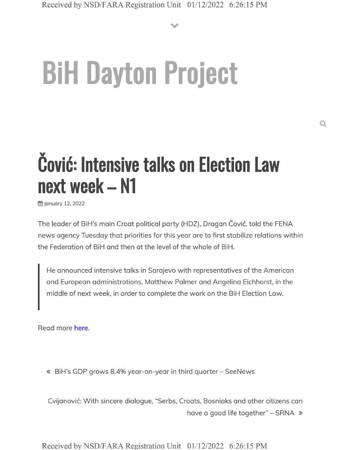# **BiH Dayton Project**

## **Covid: Intensive talks on Election Law next week - N1**

ggillanuary 12, 2022

The leader of BiH's main Croat political party (HDZ), Dragan Čović, told the FENA news agency Tuesday that priorities for this year are to first stabilize relations within the Federation of BiH and then at the level of the whole of BiH.

He announced intensive talks in Sarajevo with representatives of the American and European administrations, Matthew Palmer and Angelina Eichhorst, in the middle of next week, in order to complete the work on the BiH Election Law.

Read more here.

« BiH's GDP grows 8.4% year-on-year in third quarter - SeeNews

Cvijanović: With sincere dialogue, "Serbs, Croats, Bosniaks and other citizens can have a good life together"  $-$  SRNA  $\gg$ 

Received by NSD/FARA Registration Unit 01/12/2022 6:26:15 PM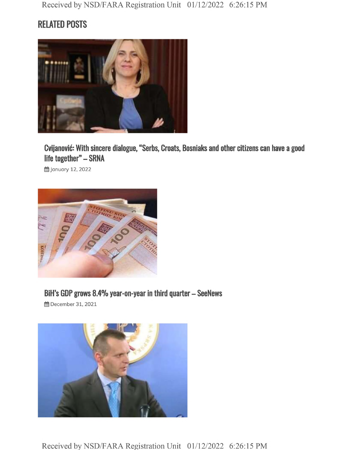### **RELATED POSTS**



**Cvijanovic: With sincere dialogue, "Serbs, Croats, Bosniaks and other citizens can have a good life together" - SRNA**

**的January 12, 2022** 



#### **BiH's GDP grows 8.4% year-on-year in third quarter - SeeNews**

**的December 31, 2021**